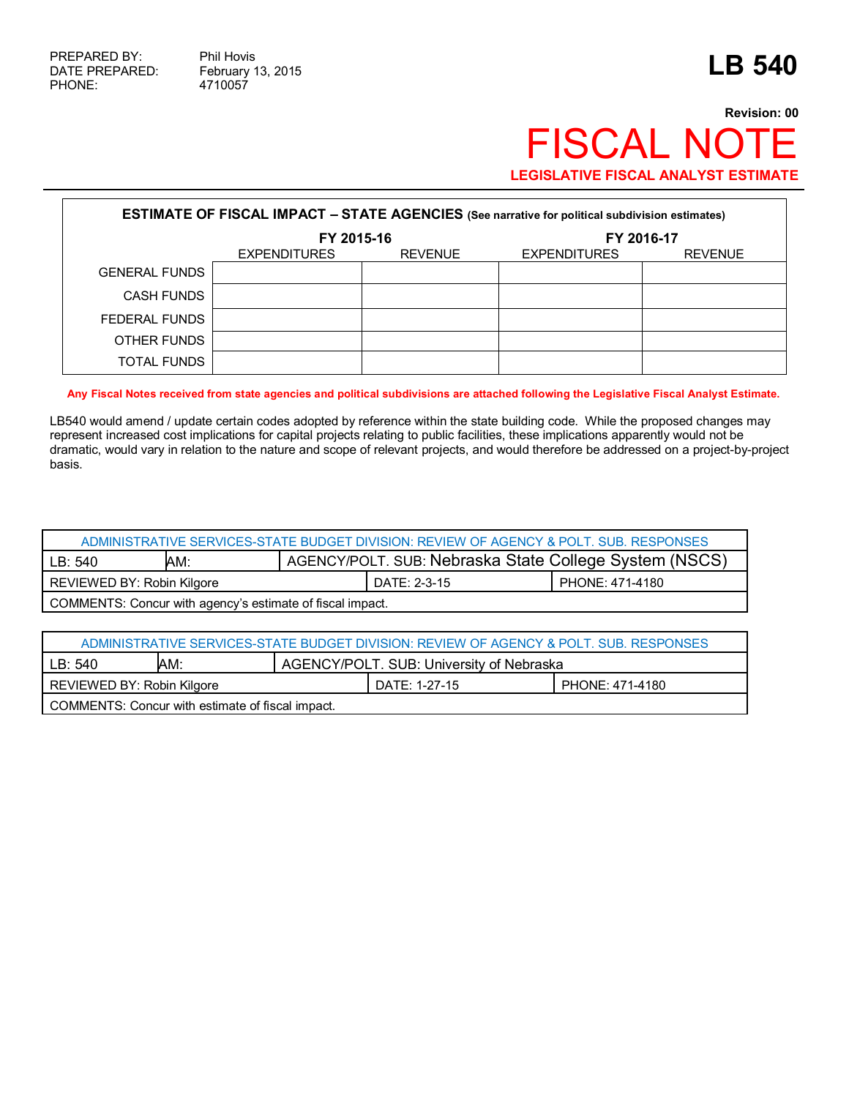# **Revision: 00** FISCAL NOTE **LEGISLATIVE FISCAL ANALYST ESTIMATE**

| <b>ESTIMATE OF FISCAL IMPACT - STATE AGENCIES</b> (See narrative for political subdivision estimates) |                     |                |                     |                |  |  |  |
|-------------------------------------------------------------------------------------------------------|---------------------|----------------|---------------------|----------------|--|--|--|
|                                                                                                       | FY 2015-16          |                |                     | FY 2016-17     |  |  |  |
|                                                                                                       | <b>EXPENDITURES</b> | <b>REVENUE</b> | <b>EXPENDITURES</b> | <b>REVENUE</b> |  |  |  |
| <b>GENERAL FUNDS</b>                                                                                  |                     |                |                     |                |  |  |  |
| <b>CASH FUNDS</b>                                                                                     |                     |                |                     |                |  |  |  |
| FEDERAL FUNDS                                                                                         |                     |                |                     |                |  |  |  |
| OTHER FUNDS                                                                                           |                     |                |                     |                |  |  |  |
| TOTAL FUNDS                                                                                           |                     |                |                     |                |  |  |  |

### **Any Fiscal Notes received from state agencies and political subdivisions are attached following the Legislative Fiscal Analyst Estimate.**

LB540 would amend / update certain codes adopted by reference within the state building code. While the proposed changes may represent increased cost implications for capital projects relating to public facilities, these implications apparently would not be dramatic, would vary in relation to the nature and scope of relevant projects, and would therefore be addressed on a project-by-project basis.

| ADMINISTRATIVE SERVICES-STATE BUDGET DIVISION: REVIEW OF AGENCY & POLT, SUB, RESPONSES |     |                                                        |              |                 |  |
|----------------------------------------------------------------------------------------|-----|--------------------------------------------------------|--------------|-----------------|--|
| LB: 540                                                                                | AM: | AGENCY/POLT. SUB: Nebraska State College System (NSCS) |              |                 |  |
| REVIEWED BY: Robin Kilgore                                                             |     |                                                        | DATE: 2-3-15 | PHONE: 471-4180 |  |
| COMMENTS: Concur with agency's estimate of fiscal impact.                              |     |                                                        |              |                 |  |

| ADMINISTRATIVE SERVICES-STATE BUDGET DIVISION: REVIEW OF AGENCY & POLT. SUB. RESPONSES |  |               |                 |  |  |
|----------------------------------------------------------------------------------------|--|---------------|-----------------|--|--|
| AGENCY/POLT. SUB: University of Nebraska<br>AM:<br>LB: 540                             |  |               |                 |  |  |
| REVIEWED BY: Robin Kilgore                                                             |  | DATE: 1-27-15 | PHONE: 471-4180 |  |  |
| COMMENTS: Concur with estimate of fiscal impact.                                       |  |               |                 |  |  |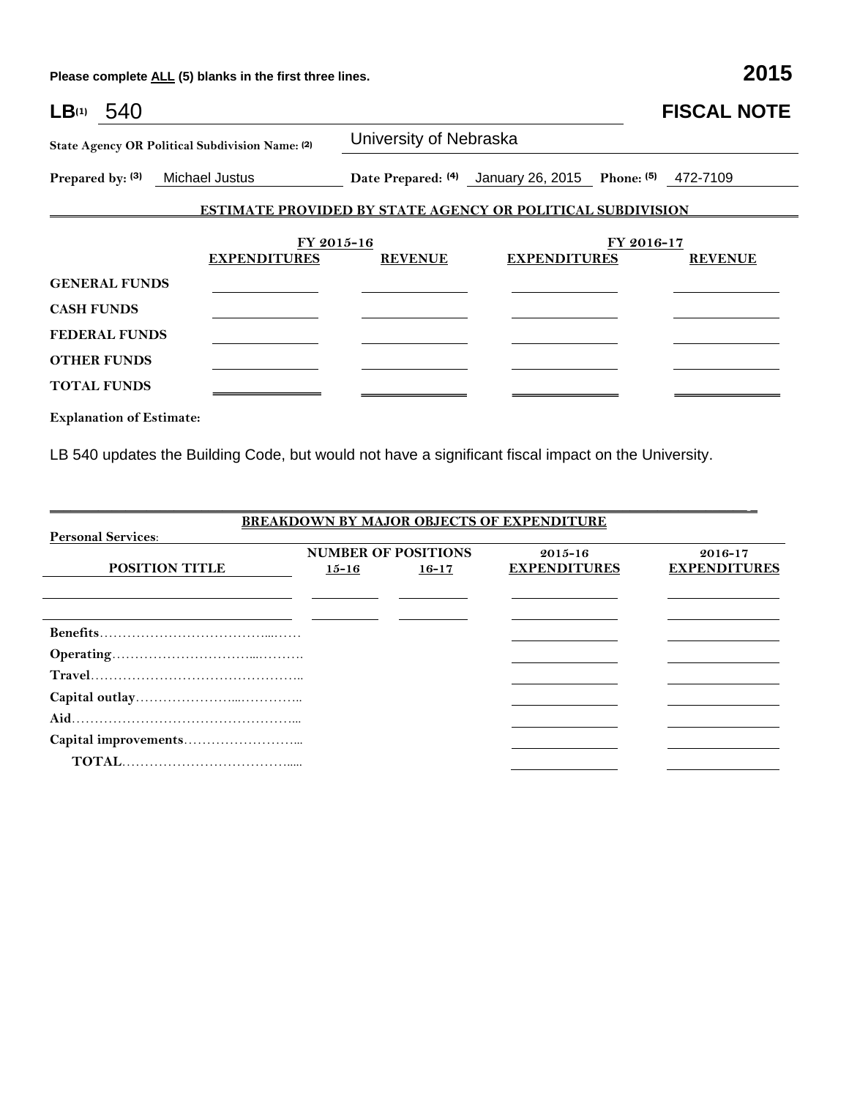| $LB^{(1)}$ 540                                  |                                                                   |                                                         |                     |            | <b>FISCAL NOTE</b> |
|-------------------------------------------------|-------------------------------------------------------------------|---------------------------------------------------------|---------------------|------------|--------------------|
| State Agency OR Political Subdivision Name: (2) |                                                                   | University of Nebraska                                  |                     |            |                    |
| Prepared by: (3) Michael Justus                 |                                                                   | Date Prepared: (4) January 26, 2015 Phone: (5) 472-7109 |                     |            |                    |
|                                                 | <b>ESTIMATE PROVIDED BY STATE AGENCY OR POLITICAL SUBDIVISION</b> |                                                         |                     |            |                    |
|                                                 |                                                                   |                                                         |                     | FY 2016-17 |                    |
|                                                 | FY 2015-16<br><b>EXPENDITURES</b>                                 | <b>REVENUE</b>                                          | <b>EXPENDITURES</b> |            | <b>REVENUE</b>     |
| <b>GENERAL FUNDS</b>                            |                                                                   |                                                         |                     |            |                    |
| <b>CASH FUNDS</b>                               |                                                                   |                                                         |                     |            |                    |
| <b>FEDERAL FUNDS</b>                            |                                                                   |                                                         |                     |            |                    |
| <b>OTHER FUNDS</b>                              |                                                                   |                                                         |                     |            |                    |
| <b>TOTAL FUNDS</b>                              |                                                                   |                                                         |                     |            |                    |
| <b>Explanation of Estimate:</b>                 |                                                                   |                                                         |                     |            |                    |

LB 540 updates the Building Code, but would not have a significant fiscal impact on the University.

|                           |           |                            | <b>BREAKDOWN BY MAJOR OBJECTS OF EXPENDITURE</b> |                     |
|---------------------------|-----------|----------------------------|--------------------------------------------------|---------------------|
| <b>Personal Services:</b> |           |                            |                                                  |                     |
|                           |           | <b>NUMBER OF POSITIONS</b> | $2015 - 16$                                      | 2016-17             |
| <b>POSITION TITLE</b>     | $15 - 16$ | $16 - 17$                  | <b>EXPENDITURES</b>                              | <b>EXPENDITURES</b> |
|                           |           |                            |                                                  |                     |
|                           |           |                            |                                                  |                     |
|                           |           |                            |                                                  |                     |
|                           |           |                            |                                                  |                     |
|                           |           |                            |                                                  |                     |
|                           |           |                            |                                                  |                     |
|                           |           |                            |                                                  |                     |
|                           |           |                            |                                                  |                     |
|                           |           |                            |                                                  |                     |

\_\_\_\_\_\_\_\_\_\_\_\_\_\_\_\_\_\_\_\_\_\_\_\_\_\_\_\_\_\_\_\_\_\_\_\_\_\_\_\_\_\_\_\_\_\_\_\_\_\_\_\_\_\_\_\_\_\_\_\_\_\_\_\_\_\_\_\_\_\_\_\_\_\_\_\_\_\_\_\_\_\_\_\_\_\_\_\_\_\_\_\_\_\_\_\_\_\_\_\_\_ \_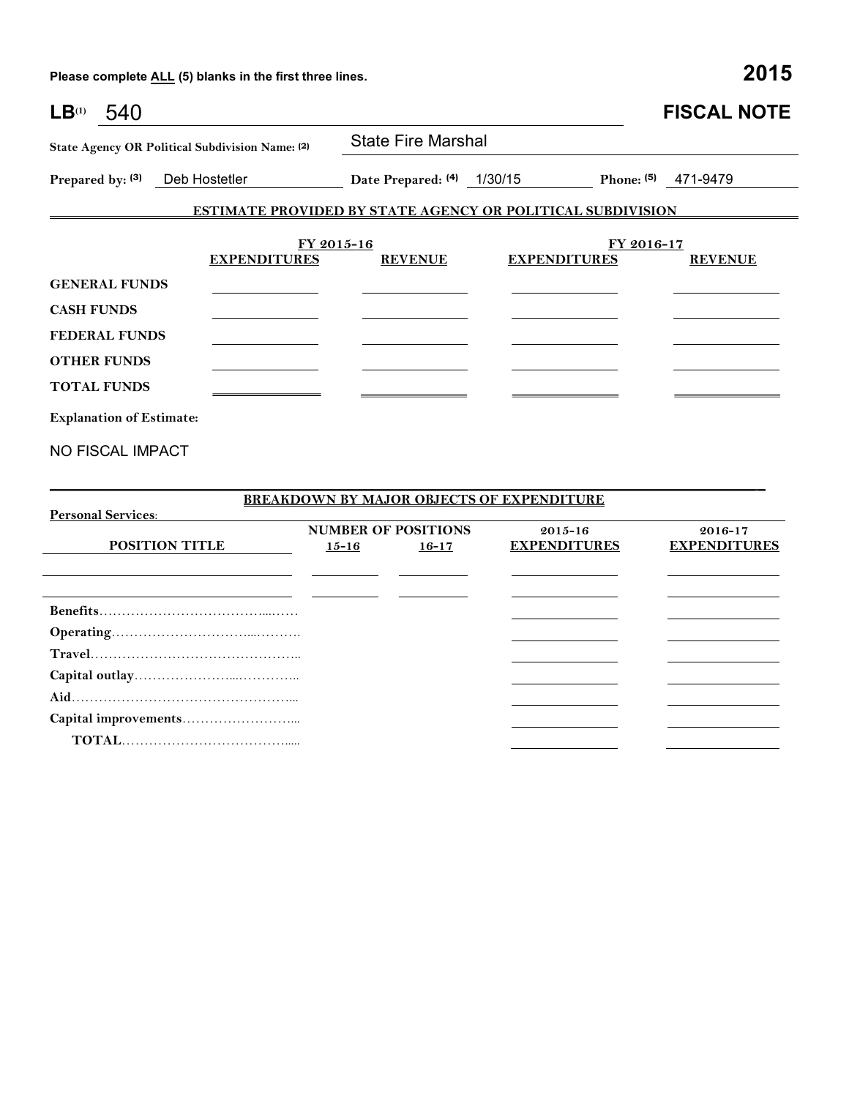| LB <sup>(1)</sup><br>540                        |                                   |                                                                   |                     |            | <b>FISCAL NOTE</b> |
|-------------------------------------------------|-----------------------------------|-------------------------------------------------------------------|---------------------|------------|--------------------|
| State Agency OR Political Subdivision Name: (2) |                                   | <b>State Fire Marshal</b>                                         |                     |            |                    |
| Prepared by: (3)<br>Deb Hostetler               |                                   | Date Prepared: (4) 1/30/15                                        |                     | Phone: (5) | 471-9479           |
|                                                 |                                   | <b>ESTIMATE PROVIDED BY STATE AGENCY OR POLITICAL SUBDIVISION</b> |                     |            |                    |
|                                                 | FY 2015-16<br><b>EXPENDITURES</b> | <b>REVENUE</b>                                                    | <b>EXPENDITURES</b> | FY 2016-17 | <b>REVENUE</b>     |
| <b>GENERAL FUNDS</b>                            |                                   |                                                                   |                     |            |                    |
| <b>CASH FUNDS</b>                               |                                   |                                                                   |                     |            |                    |
| <b>FEDERAL FUNDS</b>                            |                                   |                                                                   |                     |            |                    |
| <b>OTHER FUNDS</b>                              |                                   |                                                                   |                     |            |                    |
| <b>TOTAL FUNDS</b>                              |                                   |                                                                   |                     |            |                    |
| <b>Explanation of Estimate:</b>                 |                                   |                                                                   |                     |            |                    |
| <b>NO FISCAL IMPACT</b>                         |                                   |                                                                   |                     |            |                    |
| <b>Personal Services:</b>                       |                                   | <b>BREAKDOWN BY MAJOR OBJECTS OF EXPENDITURE</b>                  |                     |            |                    |

| $\mathbf{r}$ ergonial per vices. | <b>NUMBER OF POSITIONS</b> |           | $2015 - 16$         | $2016 - 17$         |  |
|----------------------------------|----------------------------|-----------|---------------------|---------------------|--|
| <b>POSITION TITLE</b>            | $15 - 16$                  | $16 - 17$ | <b>EXPENDITURES</b> | <b>EXPENDITURES</b> |  |
|                                  |                            |           |                     |                     |  |
|                                  |                            |           |                     |                     |  |
|                                  |                            |           |                     |                     |  |
|                                  |                            |           |                     |                     |  |
|                                  |                            |           |                     |                     |  |
|                                  |                            |           |                     |                     |  |
|                                  |                            |           |                     |                     |  |
|                                  |                            |           |                     |                     |  |
|                                  |                            |           |                     |                     |  |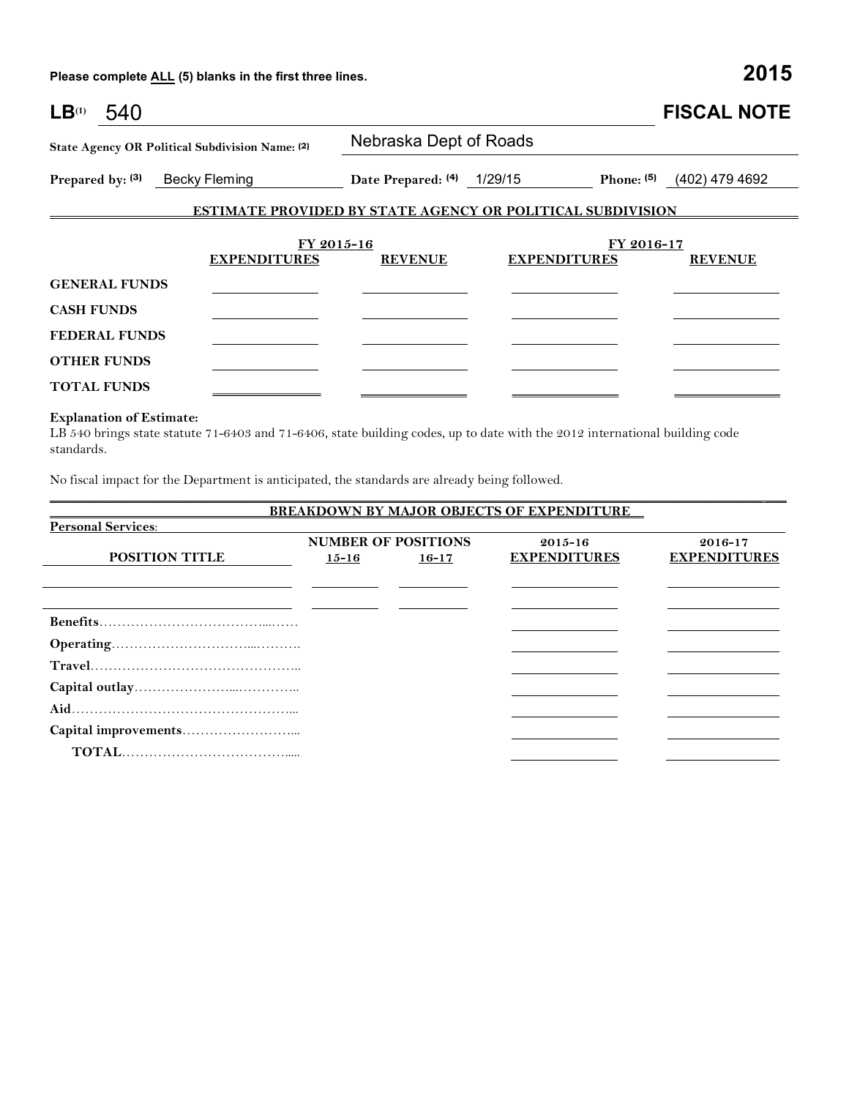| LB <sup>(1)</sup><br>540 |                                                 |                                                                   |                     |              | <b>FISCAL NOTE</b> |
|--------------------------|-------------------------------------------------|-------------------------------------------------------------------|---------------------|--------------|--------------------|
|                          | State Agency OR Political Subdivision Name: (2) | Nebraska Dept of Roads                                            |                     |              |                    |
| Prepared by: (3)         | <b>Becky Fleming</b>                            | Date Prepared: (4) 1/29/15                                        |                     | Phone: $(5)$ | (402) 479 4692     |
|                          |                                                 | <b>ESTIMATE PROVIDED BY STATE AGENCY OR POLITICAL SUBDIVISION</b> |                     |              |                    |
|                          |                                                 | FY 2015-16                                                        |                     | FY 2016-17   |                    |
|                          | <b>EXPENDITURES</b>                             | <b>REVENUE</b>                                                    | <b>EXPENDITURES</b> |              | <b>REVENUE</b>     |
| <b>GENERAL FUNDS</b>     |                                                 |                                                                   |                     |              |                    |
| <b>CASH FUNDS</b>        |                                                 |                                                                   |                     |              |                    |
| <b>FEDERAL FUNDS</b>     |                                                 |                                                                   |                     |              |                    |
| <b>OTHER FUNDS</b>       |                                                 |                                                                   |                     |              |                    |
| <b>TOTAL FUNDS</b>       |                                                 |                                                                   |                     |              |                    |

### **Explanation of Estimate:**

LB 540 brings state statute 71-6403 and 71-6406, state building codes, up to date with the 2012 international building code standards.

No fiscal impact for the Department is anticipated, the standards are already being followed.

## **BREAKDOWN BY MAJOR OBJECTS OF EXPENDITURE Personal Services**: **POSITION TITLE NUMBER OF POSITIONS 15-16 16-17 2015-16 EXPENDITURES 2016-17 EXPENDITURES Benefits**………………………………...…… **Operating**…………………………...………. **Travel**……………………………………….. **Capital outlay**…………………...………….. **Aid**…………………………………………... **Capital improvements**……………………...  **TOTAL**……………………………….....

 $\Box$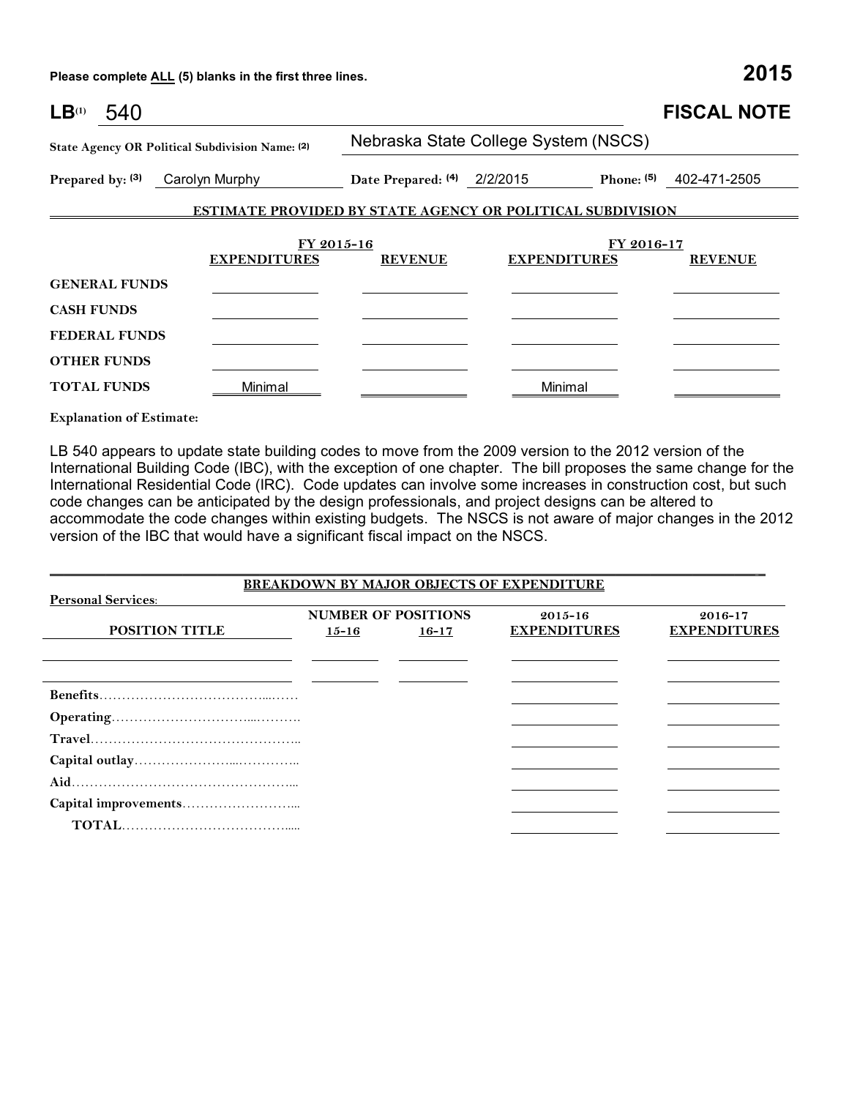| LB <sup>(1)</sup><br>540 |                                                                   |                                      |                     |            | <b>FISCAL NOTE</b> |
|--------------------------|-------------------------------------------------------------------|--------------------------------------|---------------------|------------|--------------------|
|                          | State Agency OR Political Subdivision Name: (2)                   | Nebraska State College System (NSCS) |                     |            |                    |
| Prepared by: (3)         | Carolyn Murphy                                                    | Date Prepared: (4) 2/2/2015          |                     | Phone: (5) | 402-471-2505       |
|                          | <b>ESTIMATE PROVIDED BY STATE AGENCY OR POLITICAL SUBDIVISION</b> |                                      |                     |            |                    |
|                          | FY 2015-16                                                        |                                      |                     | FY 2016-17 |                    |
|                          | <b>EXPENDITURES</b>                                               | <b>REVENUE</b>                       | <b>EXPENDITURES</b> |            | <b>REVENUE</b>     |
| <b>GENERAL FUNDS</b>     |                                                                   |                                      |                     |            |                    |
| <b>CASH FUNDS</b>        |                                                                   |                                      |                     |            |                    |
| <b>FEDERAL FUNDS</b>     |                                                                   |                                      |                     |            |                    |
| <b>OTHER FUNDS</b>       |                                                                   |                                      |                     |            |                    |
| <b>TOTAL FUNDS</b>       | Minimal                                                           |                                      | Minimal             |            |                    |

**Explanation of Estimate:**

LB 540 appears to update state building codes to move from the 2009 version to the 2012 version of the International Building Code (IBC), with the exception of one chapter. The bill proposes the same change for the International Residential Code (IRC). Code updates can involve some increases in construction cost, but such code changes can be anticipated by the design professionals, and project designs can be altered to accommodate the code changes within existing budgets. The NSCS is not aware of major changes in the 2012 version of the IBC that would have a significant fiscal impact on the NSCS.

|                           |           |                            | <b>BREAKDOWN BY MAJOR OBJECTS OF EXPENDITURE</b> |                     |
|---------------------------|-----------|----------------------------|--------------------------------------------------|---------------------|
| <b>Personal Services:</b> |           |                            |                                                  |                     |
|                           |           | <b>NUMBER OF POSITIONS</b> | $2015 - 16$                                      | 2016-17             |
| <b>POSITION TITLE</b>     | $15 - 16$ | $16 - 17$                  | <b>EXPENDITURES</b>                              | <b>EXPENDITURES</b> |
|                           |           |                            |                                                  |                     |
|                           |           |                            |                                                  |                     |
|                           |           |                            |                                                  |                     |
|                           |           |                            |                                                  |                     |
|                           |           |                            |                                                  |                     |
|                           |           |                            |                                                  |                     |
|                           |           |                            |                                                  |                     |
|                           |           |                            |                                                  |                     |
|                           |           |                            |                                                  |                     |
|                           |           |                            |                                                  |                     |